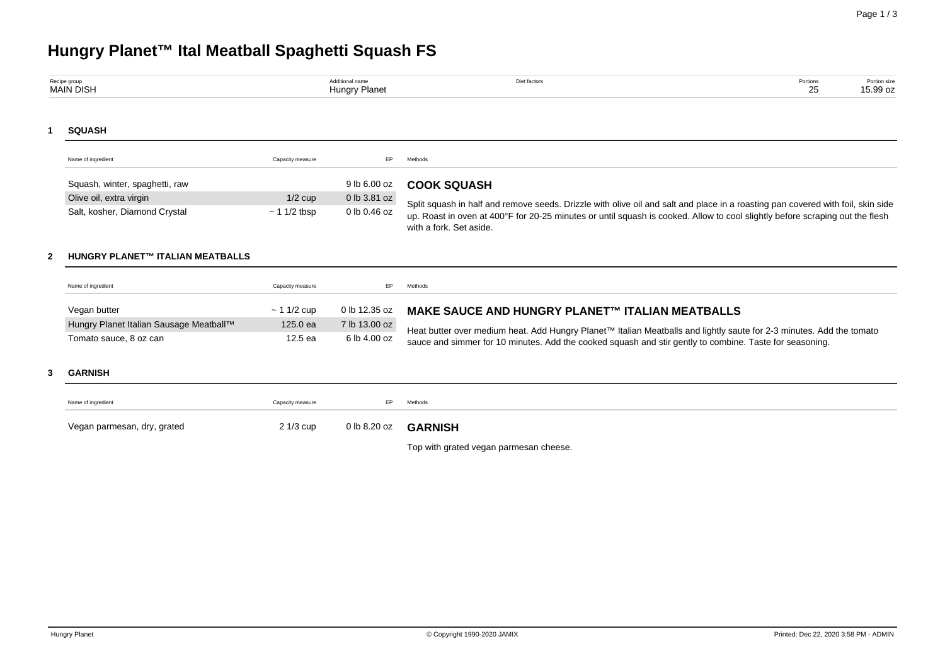# **Hungry Planet™ Ital Meatball Spaghetti Squash FS**

| Recipe group<br>MAIN DISH | <b>\dditional name</b><br>Hungry Planet | let factors | Portions<br>25<br>້ | Portion size<br>15.99 oz |
|---------------------------|-----------------------------------------|-------------|---------------------|--------------------------|
|                           |                                         |             |                     |                          |

## **1 SQUASH**

| Name of ingredient             | Capacity measure  | FP.          | Methods                                                                                                                                                 |
|--------------------------------|-------------------|--------------|---------------------------------------------------------------------------------------------------------------------------------------------------------|
| Squash, winter, spaghetti, raw |                   | 9 lb 6.00 oz | <b>COOK SQUASH</b>                                                                                                                                      |
| Olive oil, extra virgin        | $1/2$ cup         | 0 lb 3.81 oz | Split squash in half and remove seeds. Drizzle with olive oil and salt and place in a roasting pan covered with foil, skin side                         |
| Salt, kosher, Diamond Crystal  | $\sim$ 1 1/2 tbsp | 0 lb 0.46 oz | up. Roast in oven at 400°F for 20-25 minutes or until squash is cooked. Allow to cool slightly before scraping out the flesh<br>with a fork. Set aside. |

### **2 HUNGRY PLANET™ ITALIAN MEATBALLS**

| Name of ingredient                      | Capacity measure |               | Methods                                                                                                                                                                                                                         |
|-----------------------------------------|------------------|---------------|---------------------------------------------------------------------------------------------------------------------------------------------------------------------------------------------------------------------------------|
| Vegan butter                            | $\sim$ 1 1/2 cup | 0 lb 12.35 oz | <b>MAKE SAUCE AND HUNGRY PLANET™ ITALIAN MEATBALLS</b>                                                                                                                                                                          |
| Hungry Planet Italian Sausage Meatball™ | 125.0 ea         | 7 lb 13.00 oz |                                                                                                                                                                                                                                 |
| Tomato sauce, 8 oz can                  | 12.5 ea          | 6 lb 4.00 oz  | Heat butter over medium heat. Add Hungry Planet™ Italian Meatballs and lightly saute for 2-3 minutes. Add the tomato<br>sauce and simmer for 10 minutes. Add the cooked squash and stir gently to combine. Taste for seasoning. |

#### **3 GARNISH**

Top with grated vegan parmesan cheese.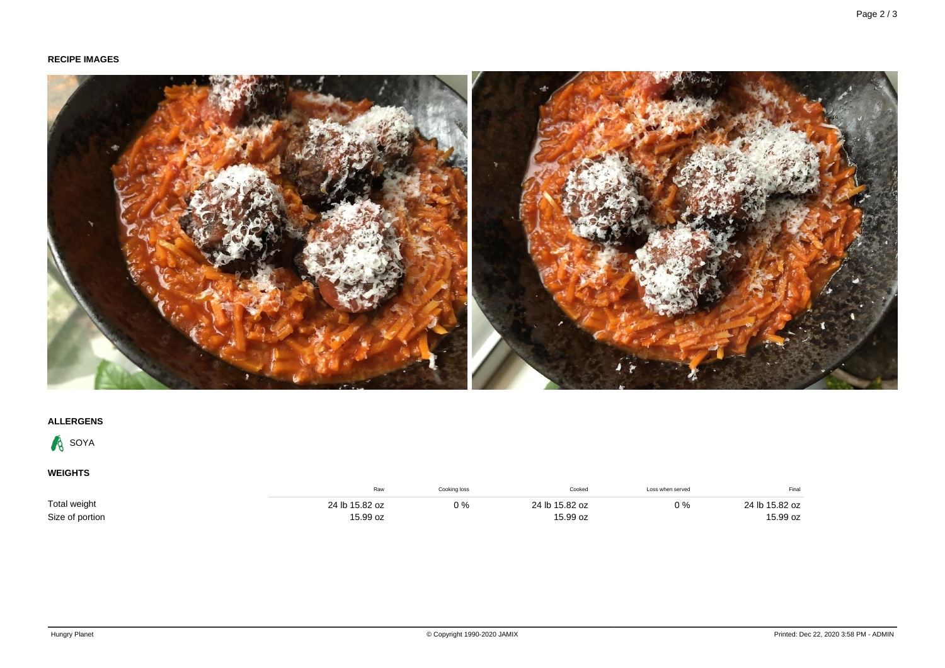# **RECIPE IMAGES**



# **ALLERGENS**



# **WEIGHTS**

|                 | Raw            | Cooking loss | Cooked         | Loss when served | Final          |
|-----------------|----------------|--------------|----------------|------------------|----------------|
| Total weight    | 24 lb 15.82 oz | $0\%$        | 24 lb 15.82 oz | $0\%$            | 24 lb 15.82 oz |
| Size of portion | 15.99 oz       |              | 15.99 oz       |                  | 15.99 oz       |